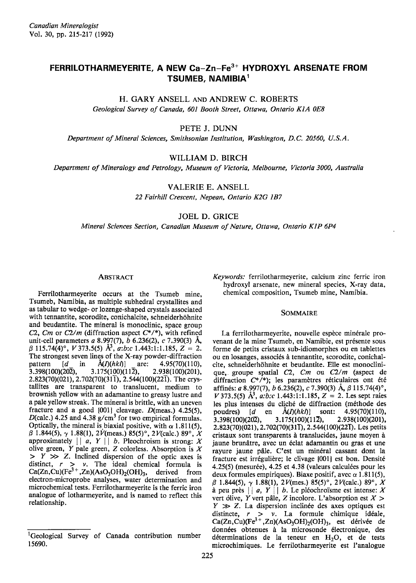# FERRILOTHARMEYERITE, A NEW Ca-Zn-Fe<sup>3+</sup> HYDROXYL ARSENATE FROM TSUMEB, NAMIBIA1

# H. GARY ANSELL AND ANDREW C. ROBERTS

Geological Survey of Canada, 601 Booth Street, Ottawa, Ontario K1A 0E8

PETE J. DUNN

Department of Mineral Sciences, Smithsonian Institution, Washington, D.C. 20560, U.S.A.

# WILLIAM D. BIRCH

Deportment of Mineralogy and Petrology, Museum of Victoria, Melbourne, Victoria 3000, Australia

VALERIE E. ANSELL

22 Fairhill Crescent, Nepean, Ontario K2G 187

JOEL D. GRICE

Mineral Sciences Section, Canadian Museum of Nature, Ottawa, Ontario KIP 6P4

## ABSTRACT

Ferrilotharmeyerite occurs at the Tsumeb mine, Tsumeb, Namibia, as multiple subhedral crystallites and as tabular to wedge- or lozenge-shaped crystals associated with tennantite, scorodite, conichalcite, schneiderhöhnite and beudantite. The mineral is monoclinic, space group C2, Cm or  $C2/m$  (diffraction aspect  $C^*/^*$ ), with refined unit-cell parameters a 8.997(7), b 6.236(2), c 7.390(3) Å,  $\beta$  115.74(4)°, V 373.5(5) Å<sup>3</sup>, a:b:c 1.443:1:1.185, Z = 2. The strongest seven lines of the X-ray powder-diffraction pattern  $[d \text{ in } \text{A}(D(hk))]$  are: 4.95(70)(110),<br>3.398(100)(202), 3.175(100)(112), 2.938(100)(201), 3.398(100)(202), 3.175(1<u>0</u>0)(112), 2.938(100)(201), <sub>c</sub> 2.823(70)(021), 2.702(70)(311), 2.544(100)(221). The crystallites are transparent to translucent, medium to brownish yellow with an adamantine to greasy lustre and a pale yellow streak. The mineral is brittle, with an uneven fracture and a good  $[001]$  cleavage.  $D(meas.)$  4.25(5), D(calc.) 4.25 and 4.38  $g/cm<sup>3</sup>$  for two empirical formulas. Optically, the mineral is biaxial positive, with  $\alpha$  1.811(5),  $\beta$  1.844(5),  $\gamma$  1.88(1), 2V(meas.) 85(5)°, 2V(calc.) 89°, X approximately  $||a, Y|| b$ . Pleochroism is strong: X olive green,  $Y$  pale green,  $Z$  colorless. Absorption is  $X$  $> Y \gg Z$ . Inclined dispersion of the optic axes is distinct,  $r > v$ . The ideal chemical formula is  $Ca(Zn, Cu)(Fe<sup>3+</sup>, Zn)(AsO<sub>3</sub>OH)<sub>2</sub>(OH)<sub>3</sub>$ , derived from electron-microprobe analyses, water determination and microchemical tests. Ferrilotharmeyerite is the ferric iron analogue of lotharmeyerite, and is named to reflect this relationship.

Keywords: ferrilotharmeyerite, calcium zinc ferric iron hydroxyl arsenate, new mineral species, X-ray data, chemical composition, Tsumeb mine, Namibia.

#### SOMMAIRE

La ferrilotharmeyerite, nouvelle espèce minérale provenant de la mine Tsumeb, en Namibie, est présente sous forme de petits cristaux sub-idiomorphes ou en tablettes ou en losanges, associés à tennantite, scorodite, conichalcite, schneiderhöhnite et beudantite. Elle est monoclinique, groupe spatial  $C2$ ,  $Cm$  ou  $C2/m$  (aspect de diffraction  $C^*/^*$ ); les paramètres réticulaires ont été affinés: *a* 8.997(7), *b* 6.236(2), *c* 7.390(3) Å,  $\beta$  115.74(4)°, V 373.5(5)  $\hat{A}^3$ , a:b:c 1.443:1:1.185, Z = 2. Les sept raies les plus intenses du cliché de diffraction (méthode des poudres)  $\begin{bmatrix} d & \text{en} & \hat{A}(I)(hk) \end{bmatrix}$  sont: 4.95(70)(110), poudres)  $[d \text{ en } \text{Å}(I)(hkI)]$  sont: 4.95(70)(110),<br>3.398(100)(202), 3.175(100)(112), 2.938(100)(201),  $3.175(100)(112),$ 2.823(70)(021), 2.702(70)(31T), 2.544(100)(22T). Les petits cristaux sont transparents à translucides, jaune moyen à jaune brunâtre, avec un éclat adamantin ou gras et une rayure jaune pâle. C'est un minéral cassant dont la fracture est irrégulière; le clivage [001] est bon. Densité 4.25(5) (mesurée), 4.25 et 4.38 (valeurs calculées pour les deux formules empiriques). Biaxe positif, avec  $\alpha$  1.811(5),  $\beta$  1.844(5),  $\gamma$  1.88(1), 2V(mes.) 85(5)°, 2V(calc.) 89°, X à peu près  $||a, Y||$  b. Le pléochroisme est intense: X vert dlive, Y vert pâle, Z incolore. L'absorption est  $X >$  $Y \gg Z$ . La dispersion inclinée des axes optiques est distincte,  $r > v$ . La formule chimique idéale, Ca(Zn,Cu)(Fe<sup>3+</sup>,Zn)(AsO<sub>3</sub>OH)<sub>2</sub>(OH)<sub>3</sub>, est dérivée de données obtenues à la microsonde électronique, des déterminations de la teneur en H<sub>2</sub>O, et de tests rnicrochimiques. Le ferrilotharmeyerite est I'analogue

<sup>&</sup>lt;sup>1</sup>Geological Survey of Canada contribution number 15690.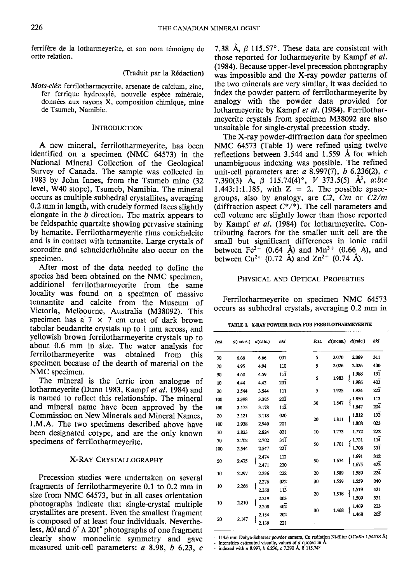ferrifère de la lotharmeyerite, et son nom témoigne de cette relation.

## (Traduit par la R6daction)

Mots-cl6s: ferrilotharmeyerite, arsenate de calcium, zinc, fer ferrique hydroxylé, nouvelle espèce minérale, données aux rayons X, composition chimique, mine de Tsumeb, Namibie.

## **INTRODUCTION**

A new mineral, ferrilotharmeyerite, has been identified on a specimen (NMC 64573) in the National Mineral Collection of the Geological Survey of Canada. The sample was collected in 1983 by John Innes, from the Tsumeb mine (32 level, W40 stope), Tsumeb, Namibia. The mineral occurs as multiple subhedral crystallites, averaging 0.2 mm in length, with crudely formed faces slightly elongate in the  $b$  direction. The matrix appears to be feldspathic quartzite showing pervasive staining by hematite. Ferrilotharmeyerite rims conichalcite and is in contact with tennantite. Large crystals of scorodite and schneiderhöhnite also occur on the specimen.

After most of the data needed to define the species had been obtained on the NMC specimen, additional ferrilotharmeyerite from the same locality was found on a specimen of massive tennantite and calcite from the Museum of Victoria, Melbourne, Australia (M38092). This specimen has a  $7 \times 7$  cm crust of dark brown tabular beudantite crystals up to I mm across, and yellowish brown ferrilotharmeyerite crystals up to about 0.6 mm in size. The water analysis for ferrilotharmeyerite was obtained from this specimen because of the dearth of material on the NMC specimen.

The mineral is the ferric iron analogue of lotharmeyerite (Dunn 1983, Kampf et al. 1984) and is named to reflect this relationship. The mineral and mineral name have been approved by the Commission on New Minerals and Mineral Names. I.M.A. The two specimens described above have been designated cotype, and are the only known specimens of ferrilotharmeyerite.

# X-RAY CRYSTALLoGRAPHY

Precession studies were undertaken on several fragments of ferrilotharmeyerite 0.1 to 0.2 mm in size from NMC 64573, but in all cases orientation photographs indicate that single-crystal multiple crystallites are present. Even the smallest fragment is composed of at least four individuals. Nevertheless,  $h0l$  and  $b^*$   $\Lambda$  201<sup>\*</sup> photographs of one fragment clearly show monoclinic symmetry and gave measured unit-cell parameters:  $a$  8.98,  $b$  6.23,  $c$ 

7.38 Å,  $\beta$  115.57°. These data are consistent with those reported for lotharmeyerite by Kampf et al. (1984). Because upper-level precession photography was impossible and the X-ray powder patterns of the two minerals are very similar, it was decided to index the powder pattern of ferrilotharmeyerite by analogy with the powder data provided for lotharmeyerite by Kampf et al. (1984). Ferrilotharmeyerite crystals from specimen M38092 are also unsuitable for single-crystal precession study.

The X-ray powder-diffraction data for specimen NMC 64573 (Table 1) were refined using twelve reflections between  $3.544$  and  $1.559$  Å for which unambiguous indexing was possible. The refined unit-cell parameters are:  $a$  8.997(7),  $b$  6.236(2),  $c$ 7.390(3)  $\hat{A}$ ,  $\beta$  115.74(4)°, V 373.5(5)  $\hat{A}^3$ , a:b:c 1.443:1:1.185, with  $Z = 2$ . The possible spacegroups, also by analogy, are  $C2$ ,  $Cm$  or  $C2/m$ (diffraction aspect  $C^*/^*$ ). The cell parameters and cell volume are slightly lower than those reported by Kampf et al. (1984) for lotharmeyerite. Contributing factors for the smaller unit cell are the small but significant differences in ionic radii between Fe<sup>3+</sup> (0.64 Å) and Mn<sup>3+</sup> (0.66 Å), and between Cu<sup>2+</sup> (0.72 Å) and  $Zn^{2+}$  (0.74 Å).

### PHYSICAL AND OPTICAL PROPERTIES

Ferrilotharmeyerite on specimen NMC 64573 occurs as subhedral crystals, averaging 0.2 mm in

|  | TABLE 1. X-RAY POWDER DATA FOR FERRILOTHARMEYERITE |
|--|----------------------------------------------------|
|  |                                                    |

|       |                                  | hkl                          | Test. |                                       |                                  | hkl                                    |
|-------|----------------------------------|------------------------------|-------|---------------------------------------|----------------------------------|----------------------------------------|
| 6.66  | 6.66                             | 001                          | 5     | 2.070                                 | 2.069                            | 311                                    |
| 4.95  | 4.94                             | 110                          | 5     | 2.026                                 | 2.026                            | 400                                    |
| 4.60  | 4.59                             | 111                          |       |                                       | 1.988                            | $13\overline{1}$                       |
| 4.44  | 4.42                             | 201                          |       |                                       | 1.986                            | $40\overline{3}$                       |
| 3.544 | 3.544                            | 111                          | 5     | 1.925                                 | 1.924                            | 223                                    |
| 3.398 | 3.395                            | 202                          |       | 1.847                                 | 1.850                            | 113                                    |
| 3.175 | 3.178                            | $11\overline{2}$             |       |                                       | 1.847                            | 204                                    |
| 3.121 | 3.118                            | 020                          |       | 1.811                                 | 1.812                            | $13\overline{2}$                       |
| 2.938 | 2.940                            | 201                          |       |                                       | 1.808                            | 023                                    |
| 2.823 | 2.824                            | 021                          | 10    | 1.773                                 | 1.772                            | 222                                    |
| 2.702 | 2.702                            | 311                          |       |                                       | 1.721                            | $11\bar{4}$                            |
| 2.544 | 2.547                            | $22\overline{1}$             |       |                                       | 1.708                            | 33ī                                    |
|       | 2.474                            | 112                          |       | 1.674                                 | 1.691                            | 312                                    |
|       | 2.471                            | 220                          |       |                                       | 1.675                            | 423                                    |
| 2,297 | 2.296                            | 222                          | 20    | 1.589                                 | 1.589                            | 224                                    |
|       | 2.276                            | 022                          | 30    | 1.559                                 | 1.559                            | 040                                    |
|       | 2.260                            | 113                          |       |                                       | 1,519                            | 421                                    |
|       | 003<br>2.219                     |                              |       | 1,509                                 | 331                              |                                        |
|       | 2.208                            | $40\overline{2}$             |       |                                       | 1.469                            | 223                                    |
|       | 2.154                            | 202                          |       |                                       | 1.468                            | 205                                    |
|       | 2.139                            | 221                          |       |                                       |                                  |                                        |
|       | 2.475<br>2.268<br>2.210<br>2.147 | $d$ (meas.) $d$ (calc.)<br>ł |       | 5<br>30<br>20<br>50<br>50<br>20<br>30 | 1.983<br>1.701<br>1.518<br>1.468 | $d$ (meas.) $d$ (calc.)<br>ł<br>ł<br>Į |

<sup>- 114.6</sup> mm Debye-Scherrer powder camera, Cu radiation Ni-filter (XCuKa 1.54178 Å)

<sup>-</sup> intensities estimated visually, values of d quoted in  $\AA$ <br>- indexed with a 8.997, b 6.236, c 7.390  $\AA$ , ß 115.74°